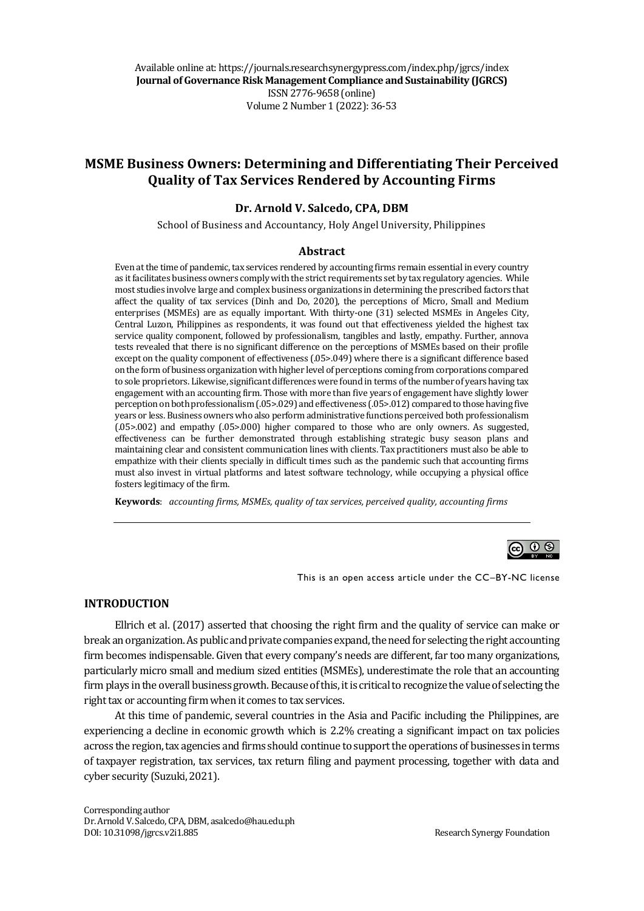Available online at: https://journals.researchsynergypress.com/index.php/jgrcs/index **Journal of Governance Risk Management Compliance and Sustainability (JGRCS)** ISSN 2776-9658 (online) Volume 2Number 1 (2022): 36-53

# **MSME Business Owners: Determining and Differentiating Their Perceived Quality of Tax Services Rendered by Accounting Firms**

### **Dr. Arnold V. Salcedo, CPA, DBM**

School of Business and Accountancy, Holy Angel University, Philippines

#### **Abstract**

Even at the time of pandemic, tax services rendered by accounting firms remain essential in every country as it facilitates business owners comply with the strict requirements set by tax regulatory agencies. While most studies involve large and complex business organizations in determining the prescribed factors that affect the quality of tax services (Dinh and Do, 2020), the perceptions of Micro, Small and Medium enterprises (MSMEs) are as equally important. With thirty-one (31) selected MSMEs in Angeles City, Central Luzon, Philippines as respondents, it was found out that effectiveness yielded the highest tax service quality component, followed by professionalism, tangibles and lastly, empathy. Further, annova tests revealed that there is no significant difference on the perceptions of MSMEs based on their profile except on the quality component of effectiveness (.05>.049) where there is a significant difference based on the form of business organization with higher level of perceptions coming from corporations compared to sole proprietors. Likewise, significant differences were found in terms of the number of years having tax engagement with an accounting firm. Those with more than five years of engagement have slightly lower perception on both professionalism (.05>.029) and effectiveness (.05>.012) compared to those having five years or less. Business owners who also perform administrative functions perceived both professionalism (.05>.002) and empathy (.05>.000) higher compared to those who are only owners. As suggested, effectiveness can be further demonstrated through establishing strategic busy season plans and maintaining clear and consistent communication lines with clients. Tax practitioners must also be able to empathize with their clients specially in difficult times such as the pandemic such that accounting firms must also invest in virtual platforms and latest software technology, while occupying a physical office fosters legitimacy of the firm.

**Keywords**: *accounting firms, MSMEs, quality of tax services, perceived quality, accounting firms*



This is an open access article under the CC–BY-NC license

### **INTRODUCTION**

Ellrich et al. (2017) asserted that choosing the right firm and the quality of service can make or break an organization. As public and private companies expand, the need for selecting the right accounting firm becomes indispensable. Given that every company's needs are different, far too many organizations, particularly micro small and medium sized entities (MSMEs), underestimate the role that an accounting firm plays in the overall business growth. Because of this, it is critical to recognize the value of selecting the right tax or accounting firm when it comes to tax services.

At this time of pandemic, several countries in the Asia and Pacific including the Philippines, are experiencing a decline in economic growth which is 2.2% creating a significant impact on tax policies across the region, tax agencies and firms should continue to support the operations of businesses in terms of taxpayer registration, tax services, tax return filing and payment processing, together with data and cyber security (Suzuki, 2021).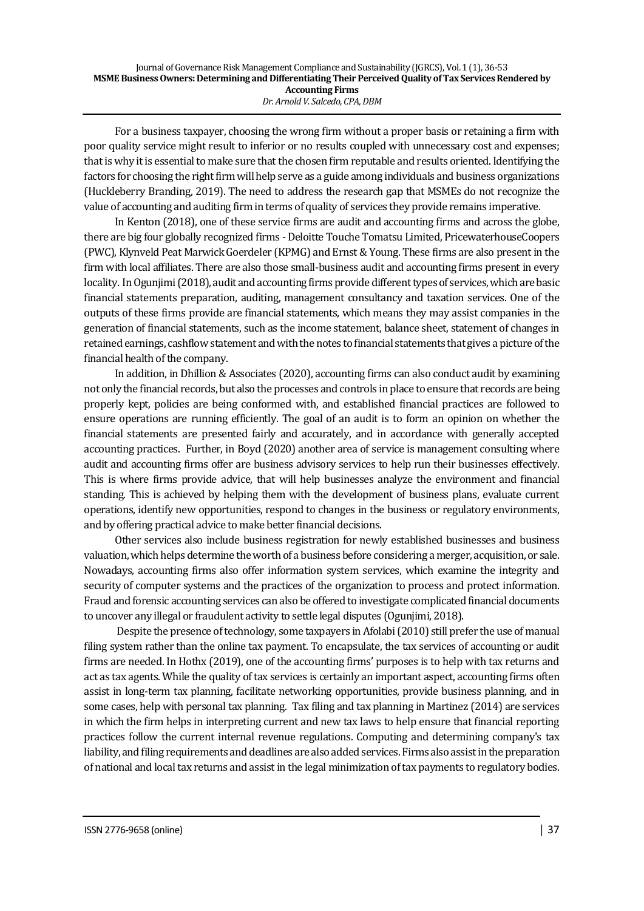For a business taxpayer, choosing the wrong firm without a proper basis or retaining a firm with poor quality service might result to inferior or no results coupled with unnecessary cost and expenses; that is why it is essential to make sure that the chosen firm reputable and results oriented. Identifying the factors for choosing the right firm will help serve as a guide among individuals and business organizations (Huckleberry Branding, 2019). The need to address the research gap that MSMEs do not recognize the value of accounting and auditing firm in terms of quality of services they provide remains imperative.

In Kenton (2018), one of these service firms are audit and accounting firms and across the globe, there are big four globally recognized firms - Deloitte Touche Tomatsu Limited, PricewaterhouseCoopers (PWC), Klynveld Peat Marwick Goerdeler (KPMG) and Ernst & Young. These firms are also present in the firm with local affiliates. There are also those small-business audit and accounting firms present in every locality. In Ogunjimi (2018), audit and accounting firms provide different types of services, which are basic financial statements preparation, auditing, management consultancy and taxation services. One of the outputs of these firms provide are financial statements, which means they may assist companies in the generation of financial statements, such as the income statement, balance sheet, statement of changes in retained earnings, cashflow statement and with the notes to financial statements that gives a picture of the financial health of the company.

In addition, in Dhillion & Associates (2020), accounting firms can also conduct audit by examining not only the financial records, but also the processes and controls in place to ensure that records are being properly kept, policies are being conformed with, and established financial practices are followed to ensure operations are running efficiently. The goal of an audit is to form an opinion on whether the financial statements are presented fairly and accurately, and in accordance with generally accepted accounting practices. Further, in Boyd (2020) another area of service is management consulting where audit and accounting firms offer are business advisory services to help run their businesses effectively. This is where firms provide advice, that will help businesses analyze the environment and financial standing. This is achieved by helping them with the development of business plans, evaluate current operations, identify new opportunities, respond to changes in the business or regulatory environments, and by offering practical advice to make better financial decisions.

Other services also include business registration for newly established businesses and business valuation, which helps determine the worth of a business before considering a merger, acquisition, or sale. Nowadays, accounting firms also offer information system services, which examine the integrity and security of computer systems and the practices of the organization to process and protect information. Fraud and forensic accounting services can also be offered to investigate complicated financial documents to uncover any illegal or fraudulent activity to settle legal disputes (Ogunjimi, 2018).

Despite the presence of technology, some taxpayers in Afolabi (2010) still prefer the use of manual filing system rather than the online tax payment. To encapsulate, the tax services of accounting or audit firms are needed. In Hothx (2019), one of the accounting firms' purposes is to help with tax returns and act as tax agents. While the quality of tax services is certainly an important aspect, accounting firms often assist in long-term tax planning, facilitate networking opportunities, provide business planning, and in some cases, help with personal tax planning. Tax filing and tax planning in Martinez (2014) are services in which the firm helps in interpreting current and new tax laws to help ensure that financial reporting practices follow the current internal revenue regulations. Computing and determining company's tax liability, and filing requirements and deadlines are also added services. Firms also assist in the preparation of national and local tax returns and assist in the legal minimization of tax payments to regulatory bodies.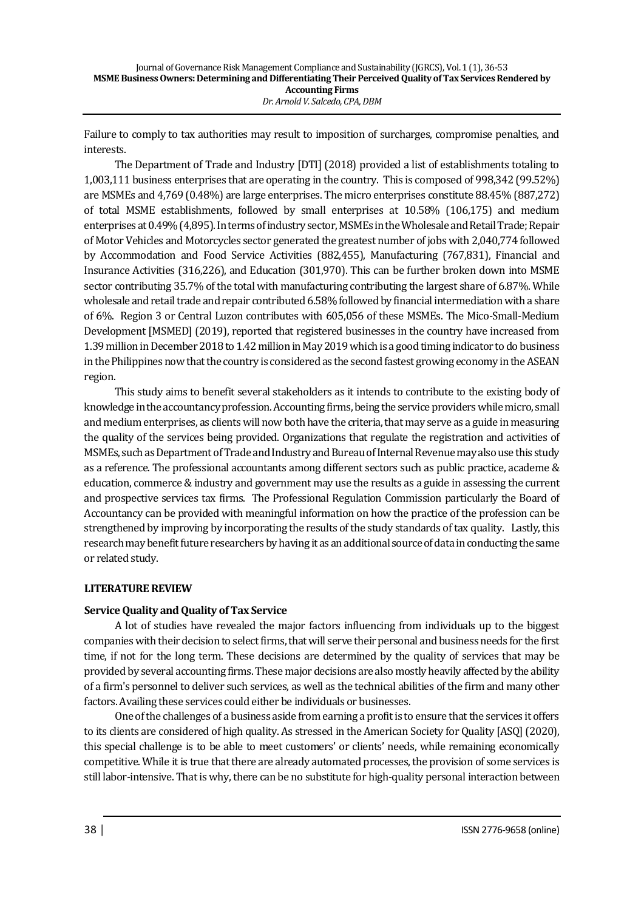Failure to comply to tax authorities may result to imposition of surcharges, compromise penalties, and interests.

The Department of Trade and Industry [DTI] (2018) provided a list of establishments totaling to 1,003,111 business enterprises that are operating in the country. This is composed of 998,342 (99.52%) are MSMEs and 4,769 (0.48%) are large enterprises. The micro enterprises constitute 88.45% (887,272) of total MSME establishments, followed by small enterprises at 10.58% (106,175) and medium enterprises at 0.49% (4,895). In terms of industry sector, MSMEs in the Wholesale and Retail Trade; Repair of Motor Vehicles and Motorcycles sector generated the greatest number of jobs with 2,040,774 followed by Accommodation and Food Service Activities (882,455), Manufacturing (767,831), Financial and Insurance Activities (316,226), and Education (301,970). This can be further broken down into MSME sector contributing 35.7% of the total with manufacturing contributing the largest share of 6.87%. While wholesale and retail trade and repair contributed 6.58% followed by financial intermediation with a share of 6%. Region 3 or Central Luzon contributes with 605,056 of these MSMEs. The Mico-Small-Medium Development [MSMED] (2019), reported that registered businesses in the country have increased from 1.39 million in December 2018 to 1.42 million in May 2019 which is a good timing indicator to do business in the Philippines now that the country is considered as the second fastest growing economy in the ASEAN region.

This study aims to benefit several stakeholders as it intends to contribute to the existing body of knowledge in the accountancy profession. Accounting firms, being the service providers while micro, small and medium enterprises, as clients will now both have the criteria, that may serve as a guide in measuring the quality of the services being provided. Organizations that regulate the registration and activities of MSMEs, such as Department of Trade and Industry and Bureau of Internal Revenue may also use this study as a reference. The professional accountants among different sectors such as public practice, academe & education, commerce & industry and government may use the results as a guide in assessing the current and prospective services tax firms. The Professional Regulation Commission particularly the Board of Accountancy can be provided with meaningful information on how the practice of the profession can be strengthened by improving by incorporating the results of the study standards of tax quality. Lastly, this research may benefit future researchers by having it as an additional source of data in conducting the same or related study.

# **LITERATURE REVIEW**

# **Service Quality and Quality of Tax Service**

A lot of studies have revealed the major factors influencing from individuals up to the biggest companies with their decision to select firms, that will serve their personal and business needs for the first time, if not for the long term. These decisions are determined by the quality of services that may be provided by several accounting firms. These major decisions are also mostly heavily affected by the ability of a firm's personnel to deliver such services, as well as the technical abilities of the firm and many other factors. Availing these services could either be individuals or businesses.

One of the challenges of a business aside from earning a profit is to ensure that the services it offers to its clients are considered of high quality. As stressed in the American Society for Quality [ASQ] (2020), this special challenge is to be able to meet customers' or clients' needs, while remaining economically competitive. While it is true that there are already automated processes, the provision of some services is still labor-intensive. That is why, there can be no substitute for high-quality personal interaction between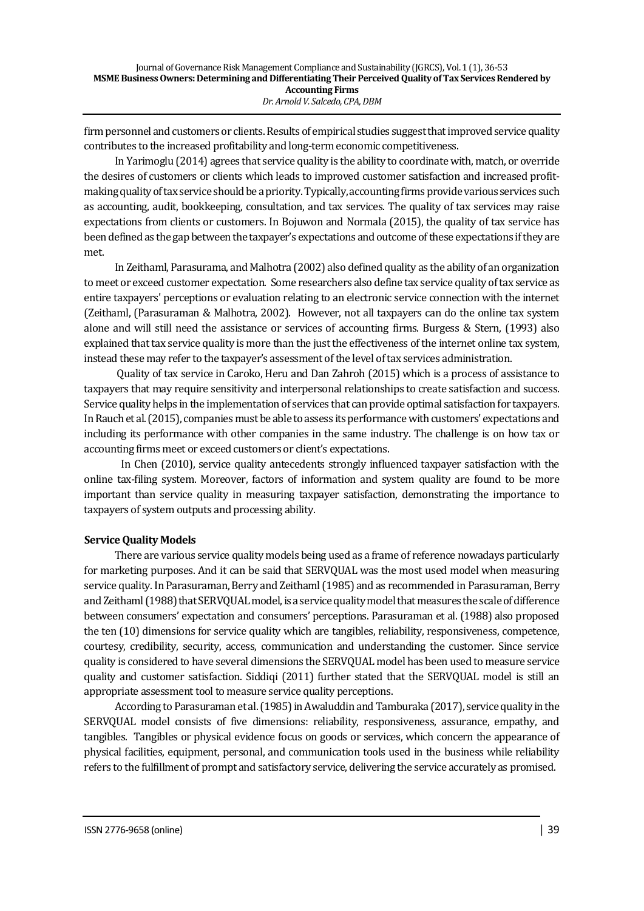firm personnel and customers or clients. Results of empirical studies suggest that improved service quality contributes to the increased profitability and long-term economic competitiveness.

In Yarimoglu (2014) agrees that service quality is the ability to coordinate with, match, or override the desires of customers or clients which leads to improved customer satisfaction and increased profitmaking quality of tax service should be a priority. Typically, accounting firms provide various services such as accounting, audit, bookkeeping, consultation, and tax services. The quality of tax services may raise expectations from clients or customers. In Bojuwon and Normala (2015), the quality of tax service has been defined as the gap between the taxpayer's expectations and outcome of these expectations if they are met.

In Zeithaml, Parasurama, and Malhotra (2002) also defined quality as the ability of an organization to meet or exceed customer expectation. Some researchers also define tax service quality of tax service as entire taxpayers' perceptions or evaluation relating to an electronic service connection with the internet (Zeithaml, (Parasuraman & Malhotra, 2002). However, not all taxpayers can do the online tax system alone and will still need the assistance or services of accounting firms. Burgess & Stern, (1993) also explained that tax service quality is more than the just the effectiveness of the internet online tax system, instead these may refer to the taxpayer's assessment of the level of tax services administration.

Quality of tax service in Caroko, Heru and Dan Zahroh (2015) which is a process of assistance to taxpayers that may require sensitivity and interpersonal relationships to create satisfaction and success. Service quality helps in the implementation of services that can provide optimal satisfaction for taxpayers. In Rauch et al. (2015), companies must be able to assess its performance with customers' expectations and including its performance with other companies in the same industry. The challenge is on how tax or accounting firms meet or exceed customers or client's expectations.

 In Chen (2010), service quality antecedents strongly influenced taxpayer satisfaction with the online tax-filing system. Moreover, factors of information and system quality are found to be more important than service quality in measuring taxpayer satisfaction, demonstrating the importance to taxpayers of system outputs and processing ability.

# **Service Quality Models**

There are various service quality models being used as a frame of reference nowadays particularly for marketing purposes. And it can be said that SERVQUAL was the most used model when measuring service quality. In Parasuraman, Berry and Zeithaml (1985) and as recommended in Parasuraman, Berry and Zeithaml (1988) that SERVQUAL model, is a service quality model that measures the scale of difference between consumers' expectation and consumers' perceptions. Parasuraman et al. (1988) also proposed the ten (10) dimensions for service quality which are tangibles, reliability, responsiveness, competence, courtesy, credibility, security, access, communication and understanding the customer. Since service quality is considered to have several dimensions the SERVQUAL model has been used to measure service quality and customer satisfaction. Siddiqi (2011) further stated that the SERVQUAL model is still an appropriate assessment tool to measure service quality perceptions.

According to Parasuraman et al. (1985) in Awaluddin and Tamburaka (2017), service quality in the SERVQUAL model consists of five dimensions: reliability, responsiveness, assurance, empathy, and tangibles. Tangibles or physical evidence focus on goods or services, which concern the appearance of physical facilities, equipment, personal, and communication tools used in the business while reliability refers to the fulfillment of prompt and satisfactory service, delivering the service accurately as promised.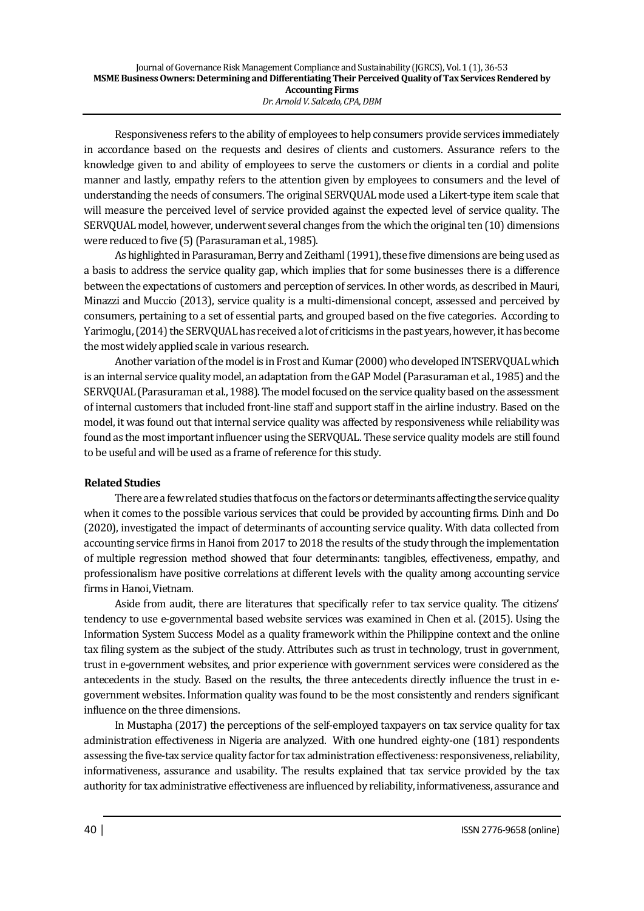Responsiveness refers to the ability of employees to help consumers provide services immediately in accordance based on the requests and desires of clients and customers. Assurance refers to the knowledge given to and ability of employees to serve the customers or clients in a cordial and polite manner and lastly, empathy refers to the attention given by employees to consumers and the level of understanding the needs of consumers. The original SERVQUAL mode used a Likert-type item scale that will measure the perceived level of service provided against the expected level of service quality. The SERVQUAL model, however, underwent several changes from the which the original ten (10) dimensions were reduced to five (5) (Parasuraman et al., 1985).

As highlighted in Parasuraman, Berry and Zeithaml (1991), these five dimensions are being used as a basis to address the service quality gap, which implies that for some businesses there is a difference between the expectations of customers and perception of services. In other words, as described in Mauri, Minazzi and Muccio (2013), service quality is a multi-dimensional concept, assessed and perceived by consumers, pertaining to a set of essential parts, and grouped based on the five categories. According to Yarimoglu, (2014) the SERVQUAL has received a lot of criticisms in the past years, however, it has become the most widely applied scale in various research.

Another variation of the model is in Frost and Kumar (2000) who developed INTSERVQUAL which is an internal service quality model, an adaptation from the GAP Model (Parasuraman et al., 1985) and the SERVQUAL (Parasuraman et al., 1988). The model focused on the service quality based on the assessment of internal customers that included front-line staff and support staff in the airline industry. Based on the model, it was found out that internal service quality was affected by responsiveness while reliability was found as the most important influencer using the SERVQUAL. These service quality models are still found to be useful and will be used as a frame of reference for this study.

# **Related Studies**

There are a few related studies that focus on the factors or determinants affecting the service quality when it comes to the possible various services that could be provided by accounting firms. Dinh and Do (2020), investigated the impact of determinants of accounting service quality. With data collected from accounting service firms in Hanoi from 2017 to 2018 the results of the study through the implementation of multiple regression method showed that four determinants: tangibles, effectiveness, empathy, and professionalism have positive correlations at different levels with the quality among accounting service firms in Hanoi, Vietnam.

Aside from audit, there are literatures that specifically refer to tax service quality. The citizens' tendency to use e-governmental based website services was examined in Chen et al. (2015). Using the Information System Success Model as a quality framework within the Philippine context and the online tax filing system as the subject of the study. Attributes such as trust in technology, trust in government, trust in e-government websites, and prior experience with government services were considered as the antecedents in the study. Based on the results, the three antecedents directly influence the trust in egovernment websites. Information quality was found to be the most consistently and renders significant influence on the three dimensions.

In Mustapha (2017) the perceptions of the self-employed taxpayers on tax service quality for tax administration effectiveness in Nigeria are analyzed. With one hundred eighty-one (181) respondents assessing the five-tax service quality factor for tax administration effectiveness: responsiveness, reliability, informativeness, assurance and usability. The results explained that tax service provided by the tax authority for tax administrative effectiveness are influenced by reliability, informativeness, assurance and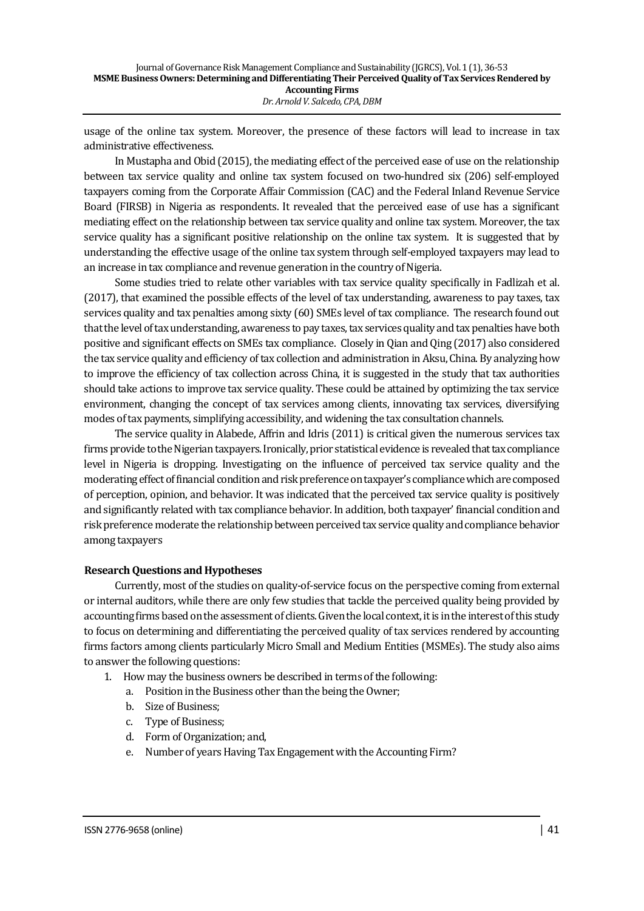usage of the online tax system. Moreover, the presence of these factors will lead to increase in tax administrative effectiveness.

In Mustapha and Obid (2015), the mediating effect of the perceived ease of use on the relationship between tax service quality and online tax system focused on two-hundred six (206) self-employed taxpayers coming from the Corporate Affair Commission (CAC) and the Federal Inland Revenue Service Board (FIRSB) in Nigeria as respondents. It revealed that the perceived ease of use has a significant mediating effect on the relationship between tax service quality and online tax system. Moreover, the tax service quality has a significant positive relationship on the online tax system. It is suggested that by understanding the effective usage of the online tax system through self-employed taxpayers may lead to an increase in tax compliance and revenue generation in the country of Nigeria.

Some studies tried to relate other variables with tax service quality specifically in Fadlizah et al. (2017), that examined the possible effects of the level of tax understanding, awareness to pay taxes, tax services quality and tax penalties among sixty (60) SMEs level of tax compliance. The research found out that the level of tax understanding, awareness to pay taxes, tax services quality and tax penalties have both positive and significant effects on SMEs tax compliance. Closely in Qian and Qing (2017) also considered the tax service quality and efficiency of tax collection and administration in Aksu, China. By analyzing how to improve the efficiency of tax collection across China, it is suggested in the study that tax authorities should take actions to improve tax service quality. These could be attained by optimizing the tax service environment, changing the concept of tax services among clients, innovating tax services, diversifying modes of tax payments, simplifying accessibility, and widening the tax consultation channels.

The service quality in Alabede, Affrin and Idris (2011) is critical given the numerous services tax firms provide to the Nigerian taxpayers. Ironically, prior statistical evidence is revealed that tax compliance level in Nigeria is dropping. Investigating on the influence of perceived tax service quality and the moderating effect of financial condition and risk preference on taxpayer's compliance which are composed of perception, opinion, and behavior. It was indicated that the perceived tax service quality is positively and significantly related with tax compliance behavior. In addition, both taxpayer' financial condition and risk preference moderate the relationship between perceived tax service quality and compliance behavior among taxpayers

# **Research Questions and Hypotheses**

Currently, most of the studies on quality-of-service focus on the perspective coming from external or internal auditors, while there are only few studies that tackle the perceived quality being provided by accounting firms based on the assessment of clients. Given the local context, it is in the interest of this study to focus on determining and differentiating the perceived quality of tax services rendered by accounting firms factors among clients particularly Micro Small and Medium Entities (MSMEs). The study also aims to answer the following questions:

- 1. How may the business owners be described in terms of the following:
	- a. Position in the Business other than the being the Owner;
	- b. Size of Business;
	- c. Type of Business;
	- d. Form of Organization; and,
	- e. Number of years Having Tax Engagement with the Accounting Firm?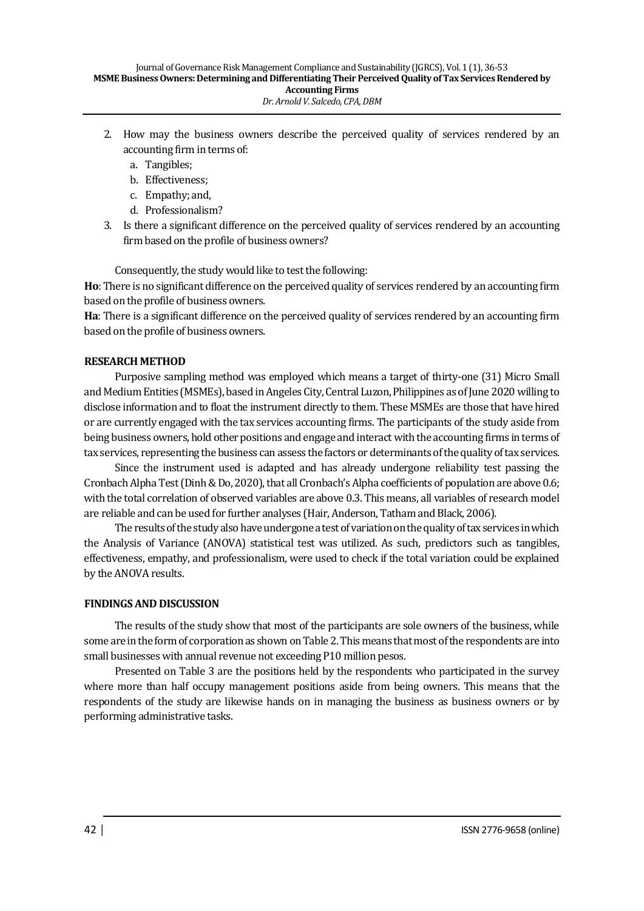- 2. How may the business owners describe the perceived quality of services rendered by an accounting firm in terms of:
	- a. Tangibles;
	- b. Effectiveness;
	- c. Empathy; and,
	- d. Professionalism?
- 3. Is there a significant difference on the perceived quality of services rendered by an accounting firm based on the profile of business owners?

Consequently, the study would like to test the following:

**Ho**: There is no significant difference on the perceived quality of services rendered by an accounting firm based on the profile of business owners.

**Ha**: There is a significant difference on the perceived quality of services rendered by an accounting firm based on the profile of business owners.

## **RESEARCH METHOD**

Purposive sampling method was employed which means a target of thirty-one (31) Micro Small and Medium Entities (MSMEs), based in Angeles City, Central Luzon, Philippines as of June 2020 willing to disclose information and to float the instrument directly to them. These MSMEs are those that have hired or are currently engaged with the tax services accounting firms. The participants of the study aside from being business owners, hold other positions and engage and interact with the accounting firms in terms of tax services, representing the business can assess the factors or determinants of the quality of tax services.

Since the instrument used is adapted and has already undergone reliability test passing the Cronbach Alpha Test (Dinh & Do, 2020), that all Cronbach's Alpha coefficients of population are above 0.6; with the total correlation of observed variables are above 0.3. This means, all variables of research model are reliable and can be used for further analyses (Hair, Anderson, Tatham and Black, 2006).

The results of the study also have undergone a test of variation on the quality of tax services in which the Analysis of Variance (ANOVA) statistical test was utilized. As such, predictors such as tangibles, effectiveness, empathy, and professionalism, were used to check if the total variation could be explained by the ANOVA results.

## **FINDINGS AND DISCUSSION**

The results of the study show that most of the participants are sole owners of the business, while some are in the form of corporation as shown on Table 2. This means that most of the respondents are into small businesses with annual revenue not exceeding P10 million pesos.

Presented on Table 3 are the positions held by the respondents who participated in the survey where more than half occupy management positions aside from being owners. This means that the respondents of the study are likewise hands on in managing the business as business owners or by performing administrative tasks.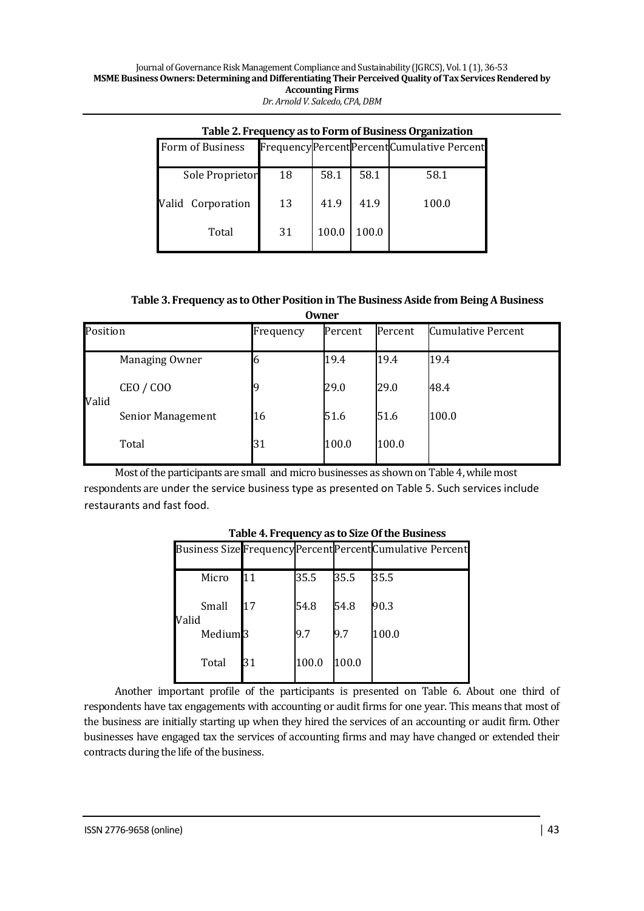| Table 2. Frequency as to Form of Business Organization |    |       |       |                                              |  |  |  |  |
|--------------------------------------------------------|----|-------|-------|----------------------------------------------|--|--|--|--|
| <b>Form of Business</b>                                |    |       |       | Frequency Percent Percent Cumulative Percent |  |  |  |  |
|                                                        |    |       |       |                                              |  |  |  |  |
| Sole Proprietor                                        | 18 | 58.1  | 58.1  | 58.1                                         |  |  |  |  |
|                                                        |    |       |       |                                              |  |  |  |  |
| Valid Corporation                                      | 13 | 41.9  | 41.9  | 100.0                                        |  |  |  |  |
|                                                        |    |       |       |                                              |  |  |  |  |
|                                                        |    |       |       |                                              |  |  |  |  |
| Total                                                  | 31 | 100.0 | 100.0 |                                              |  |  |  |  |
|                                                        |    |       |       |                                              |  |  |  |  |

### **Table 3. Frequency as to Other Position in The Business Aside from Being A Business Owner**

| Position |                   | Frequency | Percent | Percent | <b>Cumulative Percent</b> |
|----------|-------------------|-----------|---------|---------|---------------------------|
|          | Managing Owner    |           | 19.4    | 19.4    | 19.4                      |
| Valid    | <b>CEO / COO</b>  |           | 29.0    | 29.0    | 48.4                      |
|          | Senior Management | 16        | 51.6    | 51.6    | 100.0                     |
|          | Total             | 31        | 100.0   | 100.0   |                           |

Most of the participants are small and micro businesses as shown on Table 4, while most respondents are under the service business type as presented on Table 5. Such services include restaurants and fast food.

|                     |    |       |       | Business Size Frequency Percent Percent Cumulative Percent |
|---------------------|----|-------|-------|------------------------------------------------------------|
| Micro               | 11 | 35.5  | 35.5  | 35.5                                                       |
| Small<br>Valid      | 17 | 54.8  | 54.8  | 90.3                                                       |
| Medium <sub>3</sub> |    | I9.7  | I9.7  | 100.0                                                      |
| Total               | 31 | 100.0 | 100.0 |                                                            |
|                     |    |       |       |                                                            |

# **Table 4. Frequency as to Size Of the Business**

Another important profile of the participants is presented on Table 6. About one third of respondents have tax engagements with accounting or audit firms for one year. This means that most of the business are initially starting up when they hired the services of an accounting or audit firm. Other businesses have engaged tax the services of accounting firms and may have changed or extended their contracts during the life of the business.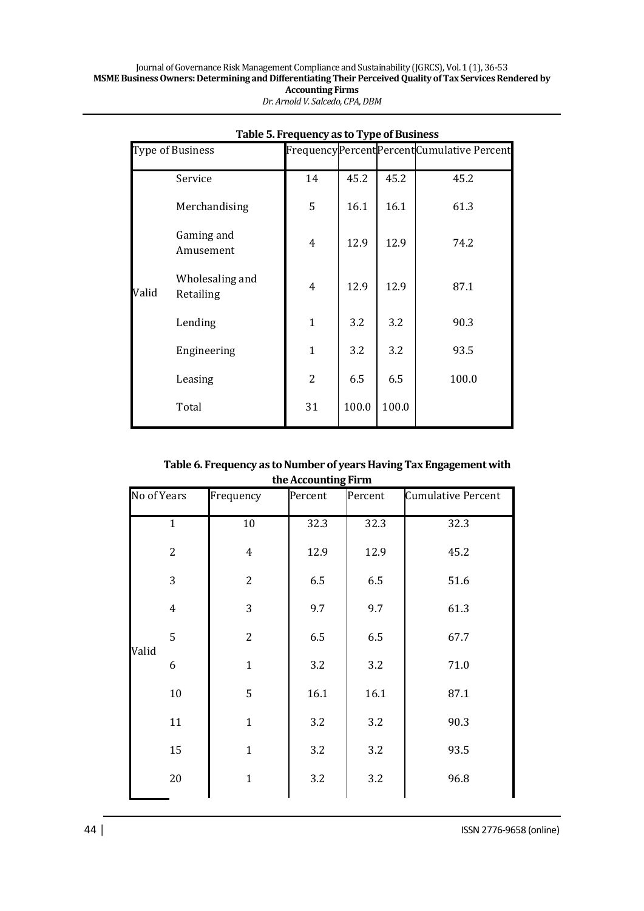|       |                              | Table 5. Frequency as to Type of Business |       |       |                                           |
|-------|------------------------------|-------------------------------------------|-------|-------|-------------------------------------------|
|       | Type of Business             |                                           |       |       | FrequencyPercentPercentCumulative Percent |
|       | Service                      | 14                                        | 45.2  | 45.2  | 45.2                                      |
|       | Merchandising                | 5                                         | 16.1  | 16.1  | 61.3                                      |
|       | Gaming and<br>Amusement      | 4                                         | 12.9  | 12.9  | 74.2                                      |
| Valid | Wholesaling and<br>Retailing | $\overline{4}$                            | 12.9  | 12.9  | 87.1                                      |
|       | Lending                      | $\mathbf{1}$                              | 3.2   | 3.2   | 90.3                                      |
|       | Engineering                  | $\mathbf{1}$                              | 3.2   | 3.2   | 93.5                                      |
|       | Leasing                      | $\overline{2}$                            | 6.5   | 6.5   | 100.0                                     |
|       | Total                        | 31                                        | 100.0 | 100.0 |                                           |

## **Table 6. Frequency as to Number of years Having Tax Engagement with the Accounting Firm**

| uit netounung in m |                |                |         |         |                           |  |  |  |  |
|--------------------|----------------|----------------|---------|---------|---------------------------|--|--|--|--|
| No of Years        |                | Frequency      | Percent | Percent | <b>Cumulative Percent</b> |  |  |  |  |
|                    | $\mathbf{1}$   | $10\,$         | 32.3    | 32.3    | 32.3                      |  |  |  |  |
|                    | $\overline{c}$ | $\overline{4}$ | 12.9    | 12.9    | 45.2                      |  |  |  |  |
|                    | 3              | $\overline{2}$ | 6.5     | 6.5     | 51.6                      |  |  |  |  |
|                    | $\overline{4}$ | 3              | 9.7     | 9.7     | 61.3                      |  |  |  |  |
| Valid              | 5              | $\overline{2}$ | 6.5     | 6.5     | 67.7                      |  |  |  |  |
|                    | 6              | $\mathbf{1}$   | 3.2     | 3.2     | 71.0                      |  |  |  |  |
|                    | $10\,$         | 5              | 16.1    | 16.1    | 87.1                      |  |  |  |  |
|                    | 11             | $\mathbf{1}$   | 3.2     | 3.2     | 90.3                      |  |  |  |  |
|                    | 15             | $\mathbf{1}$   | 3.2     | 3.2     | 93.5                      |  |  |  |  |
|                    | 20             | $\mathbf{1}$   | 3.2     | 3.2     | 96.8                      |  |  |  |  |
|                    |                |                |         |         |                           |  |  |  |  |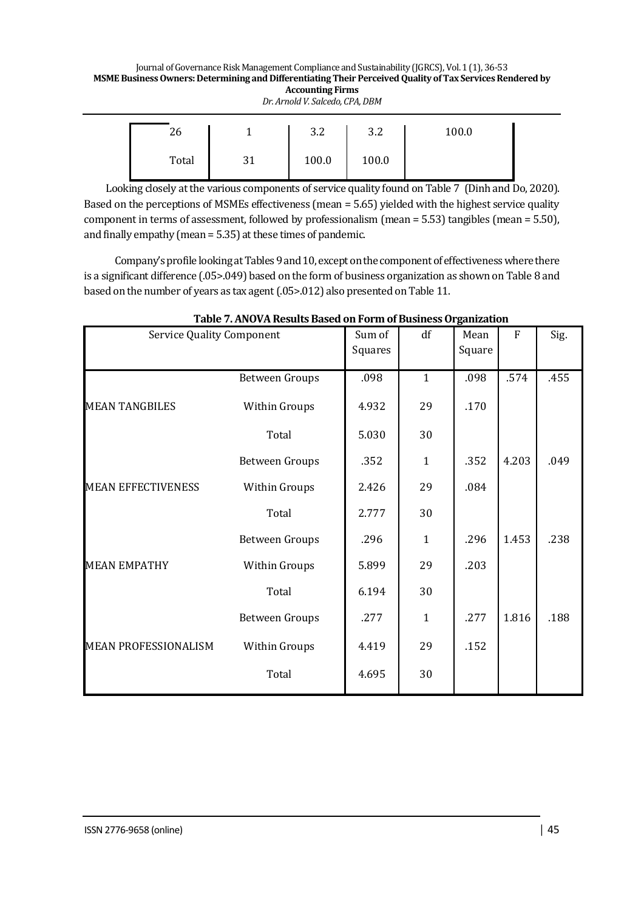Journal of Governance Risk Management Compliance and Sustainability (JGRCS), Vol. 1 (1), 36-53 **MSME Business Owners: Determining and Differentiating Their Perceived Quality of Tax Services Rendered by Accounting Firms** *Dr. Arnold V. Salcedo, CPA, DBM*

| 26    | $\Omega$<br>ے.ر | າ າ<br>ے.ر | 100.0 |  |
|-------|-----------------|------------|-------|--|
| Total | 100.0           | 100.0      |       |  |

 Looking closely at the various components of service quality found on Table 7 (Dinh and Do, 2020). Based on the perceptions of MSMEs effectiveness (mean = 5.65) yielded with the highest service quality component in terms of assessment, followed by professionalism (mean = 5.53) tangibles (mean = 5.50), and finally empathy (mean  $= 5.35$ ) at these times of pandemic.

Company's profile looking at Tables 9 and 10, except on the component of effectiveness where there is a significant difference (.05>.049) based on the form of business organization as shown on Table 8 and based on the number of years as tax agent (.05>.012) also presented on Table 11.

| <b>Service Quality Component</b> |                       | Sum of<br>Squares | df           | Mean<br>Square | $\mathbf{F}$ | Sig. |
|----------------------------------|-----------------------|-------------------|--------------|----------------|--------------|------|
|                                  | <b>Between Groups</b> | .098              | $\mathbf{1}$ | .098           | .574         | .455 |
| <b>MEAN TANGBILES</b>            | Within Groups         | 4.932             | 29           | .170           |              |      |
|                                  | Total                 | 5.030             | 30           |                |              |      |
|                                  | <b>Between Groups</b> | .352              | $\mathbf{1}$ | .352           | 4.203        | .049 |
| <b>MEAN EFFECTIVENESS</b>        | Within Groups         | 2.426             | 29           | .084           |              |      |
|                                  | Total                 | 2.777             | 30           |                |              |      |
|                                  | <b>Between Groups</b> | .296              | $\mathbf{1}$ | .296           | 1.453        | .238 |
| <b>MEAN EMPATHY</b>              | Within Groups         | 5.899             | 29           | .203           |              |      |
|                                  | Total                 | 6.194             | 30           |                |              |      |
|                                  | <b>Between Groups</b> | .277              | $\mathbf{1}$ | .277           | 1.816        | .188 |
| <b>MEAN PROFESSIONALISM</b>      | Within Groups         | 4.419             | 29           | .152           |              |      |
|                                  | Total                 | 4.695             | 30           |                |              |      |

# **Table 7. ANOVA Results Based on Form of Business Organization**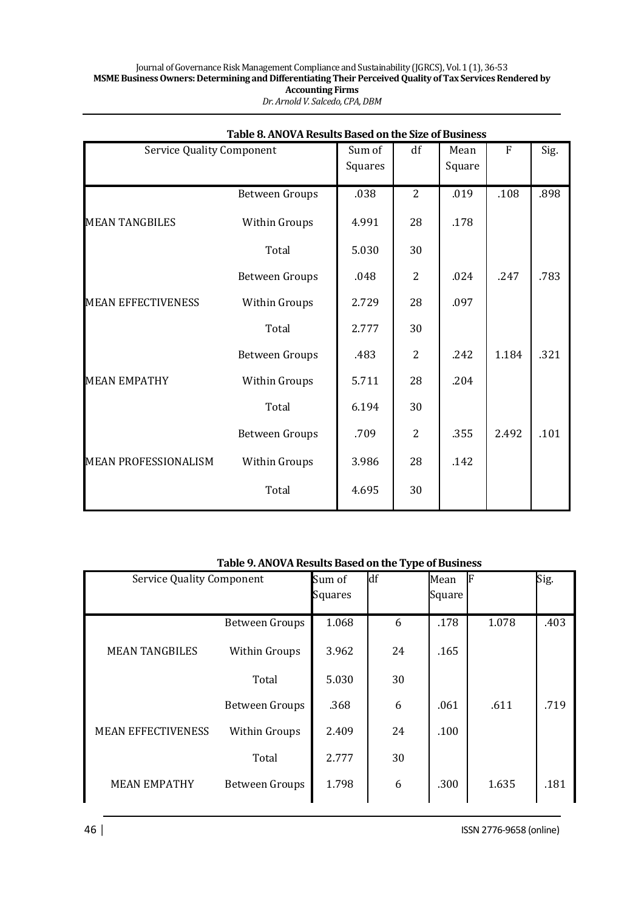|                                  | Table 8. ANOVA Results Based on the Size of Business |                   |                |                |           |      |
|----------------------------------|------------------------------------------------------|-------------------|----------------|----------------|-----------|------|
| <b>Service Quality Component</b> |                                                      | Sum of<br>Squares | df             | Mean<br>Square | ${\bf F}$ | Sig. |
|                                  | <b>Between Groups</b>                                | .038              | $\overline{2}$ | .019           | .108      | .898 |
| <b>MEAN TANGBILES</b>            | Within Groups                                        | 4.991             | 28             | .178           |           |      |
|                                  | Total                                                | 5.030             | 30             |                |           |      |
|                                  | <b>Between Groups</b>                                | .048              | $\overline{2}$ | .024           | .247      | .783 |
| <b>MEAN EFFECTIVENESS</b>        | Within Groups                                        | 2.729             | 28             | .097           |           |      |
|                                  | Total                                                | 2.777             | 30             |                |           |      |
|                                  | <b>Between Groups</b>                                | .483              | $\overline{2}$ | .242           | 1.184     | .321 |
| <b>MEAN EMPATHY</b>              | Within Groups                                        | 5.711             | 28             | .204           |           |      |
|                                  | Total                                                | 6.194             | 30             |                |           |      |
|                                  | <b>Between Groups</b>                                | .709              | $\overline{2}$ | .355           | 2.492     | .101 |
| <b>MEAN PROFESSIONALISM</b>      | Within Groups                                        | 3.986             | 28             | .142           |           |      |
|                                  | Total                                                | 4.695             | 30             |                |           |      |

# **Table 9. ANOVA Results Based on the Type of Business**

| <b>Service Quality Component</b> |                       | Sum of<br>Squares | df | Mean<br>Square | F     | Sig. |
|----------------------------------|-----------------------|-------------------|----|----------------|-------|------|
|                                  | <b>Between Groups</b> | 1.068             | 6  | .178           | 1.078 | .403 |
| <b>MEAN TANGBILES</b>            | Within Groups         | 3.962             | 24 | .165           |       |      |
|                                  | Total                 | 5.030             | 30 |                |       |      |
|                                  | <b>Between Groups</b> | .368              | 6  | .061           | .611  | .719 |
| <b>MEAN EFFECTIVENESS</b>        | Within Groups         | 2.409             | 24 | .100           |       |      |
|                                  | Total                 | 2.777             | 30 |                |       |      |
| <b>MEAN EMPATHY</b>              | <b>Between Groups</b> | 1.798             | 6  | .300           | 1.635 | .181 |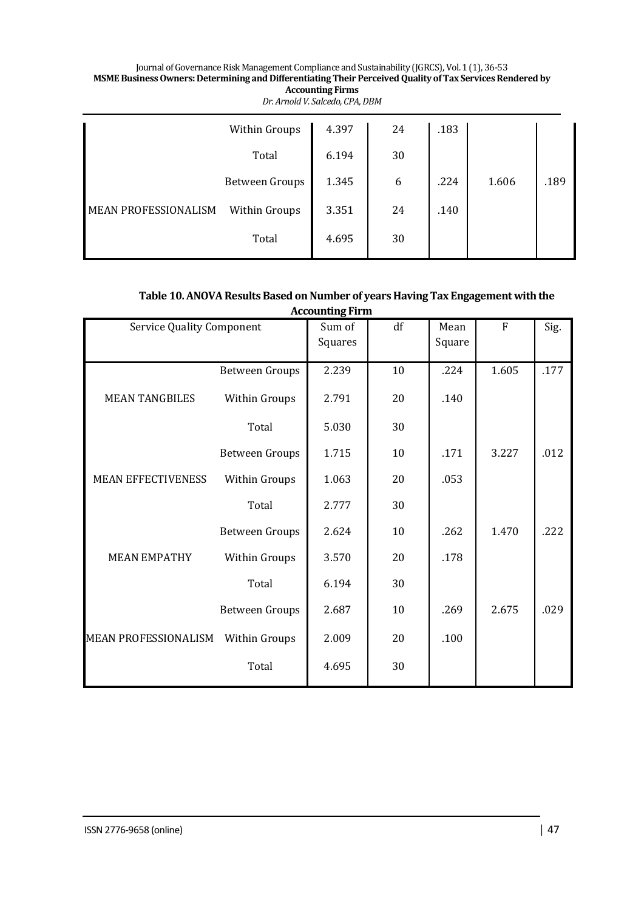|                             | Within Groups         | 4.397 | 24 | .183 |       |      |
|-----------------------------|-----------------------|-------|----|------|-------|------|
|                             | Total                 | 6.194 | 30 |      |       |      |
|                             | <b>Between Groups</b> | 1.345 | 6  | .224 | 1.606 | .189 |
| <b>MEAN PROFESSIONALISM</b> | Within Groups         | 3.351 | 24 | .140 |       |      |
|                             | Total                 | 4.695 | 30 |      |       |      |

# Table 10. ANOVA Results Based on Number of years Having Tax Engagement with the **Accounting Firm**

| <b>Service Quality Component</b> |                       | Sum of<br>Squares | df | Mean<br>Square | $\mathbf F$ | Sig. |
|----------------------------------|-----------------------|-------------------|----|----------------|-------------|------|
|                                  | <b>Between Groups</b> | 2.239             | 10 | .224           | 1.605       | .177 |
| <b>MEAN TANGBILES</b>            | Within Groups         | 2.791             | 20 | .140           |             |      |
|                                  | Total                 | 5.030             | 30 |                |             |      |
|                                  | <b>Between Groups</b> | 1.715             | 10 | .171           | 3.227       | .012 |
| <b>MEAN EFFECTIVENESS</b>        | Within Groups         | 1.063             | 20 | .053           |             |      |
|                                  | Total                 | 2.777             | 30 |                |             |      |
|                                  | <b>Between Groups</b> | 2.624             | 10 | .262           | 1.470       | .222 |
| <b>MEAN EMPATHY</b>              | Within Groups         | 3.570             | 20 | .178           |             |      |
|                                  | Total                 | 6.194             | 30 |                |             |      |
|                                  | <b>Between Groups</b> | 2.687             | 10 | .269           | 2.675       | .029 |
| <b>MEAN PROFESSIONALISM</b>      | Within Groups         | 2.009             | 20 | .100           |             |      |
|                                  | Total                 | 4.695             | 30 |                |             |      |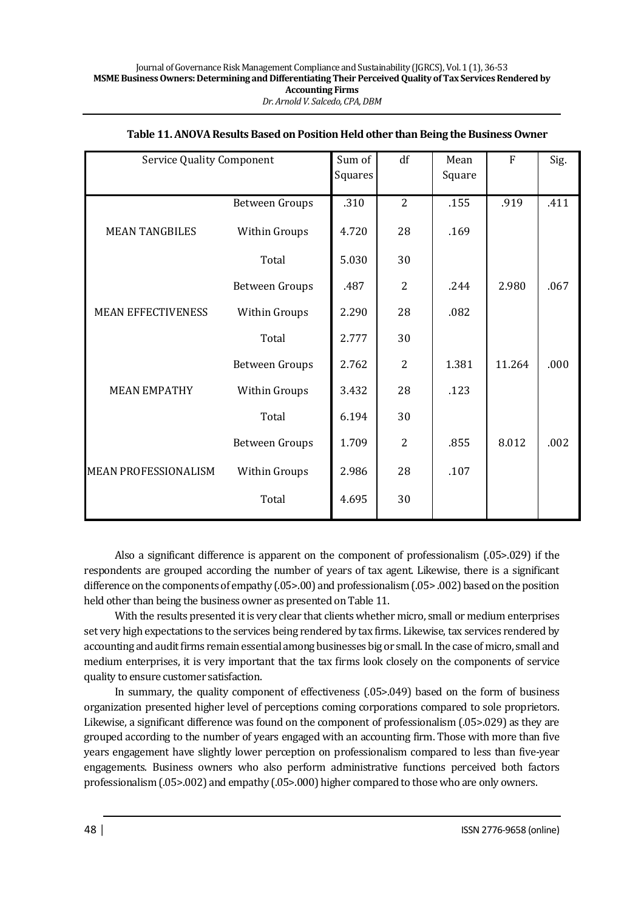| <b>Service Quality Component</b> |                       | Sum of<br>Squares | df             | Mean<br>Square | F      | Sig. |
|----------------------------------|-----------------------|-------------------|----------------|----------------|--------|------|
|                                  | <b>Between Groups</b> | .310              | $\overline{2}$ | .155           | .919   | .411 |
| <b>MEAN TANGBILES</b>            | <b>Within Groups</b>  | 4.720             | 28             | .169           |        |      |
|                                  | Total                 | 5.030             | 30             |                |        |      |
|                                  | <b>Between Groups</b> | .487              | $\overline{2}$ | .244           | 2.980  | .067 |
| <b>MEAN EFFECTIVENESS</b>        | Within Groups         | 2.290             | 28             | .082           |        |      |
|                                  | Total                 | 2.777             | 30             |                |        |      |
|                                  | <b>Between Groups</b> | 2.762             | $\overline{2}$ | 1.381          | 11.264 | .000 |
| <b>MEAN EMPATHY</b>              | Within Groups         | 3.432             | 28             | .123           |        |      |
|                                  | Total                 | 6.194             | 30             |                |        |      |
|                                  | <b>Between Groups</b> | 1.709             | $\overline{2}$ | .855           | 8.012  | .002 |
| <b>MEAN PROFESSIONALISM</b>      | Within Groups         | 2.986             | 28             | .107           |        |      |
|                                  | Total                 | 4.695             | 30             |                |        |      |

## **Table 11. ANOVA Results Based on Position Held other than Being the Business Owner**

Also a significant difference is apparent on the component of professionalism (.05>.029) if the respondents are grouped according the number of years of tax agent. Likewise, there is a significant difference on the components of empathy (.05>.00) and professionalism (.05> .002) based on the position held other than being the business owner as presented on Table 11.

With the results presented it is very clear that clients whether micro, small or medium enterprises set very high expectations to the services being rendered by tax firms. Likewise, tax services rendered by accounting and audit firms remain essential among businesses big or small. In the case of micro, small and medium enterprises, it is very important that the tax firms look closely on the components of service quality to ensure customer satisfaction.

In summary, the quality component of effectiveness (.05>.049) based on the form of business organization presented higher level of perceptions coming corporations compared to sole proprietors. Likewise, a significant difference was found on the component of professionalism (.05>.029) as they are grouped according to the number of years engaged with an accounting firm. Those with more than five years engagement have slightly lower perception on professionalism compared to less than five-year engagements. Business owners who also perform administrative functions perceived both factors professionalism (.05>.002) and empathy (.05>.000) higher compared to those who are only owners.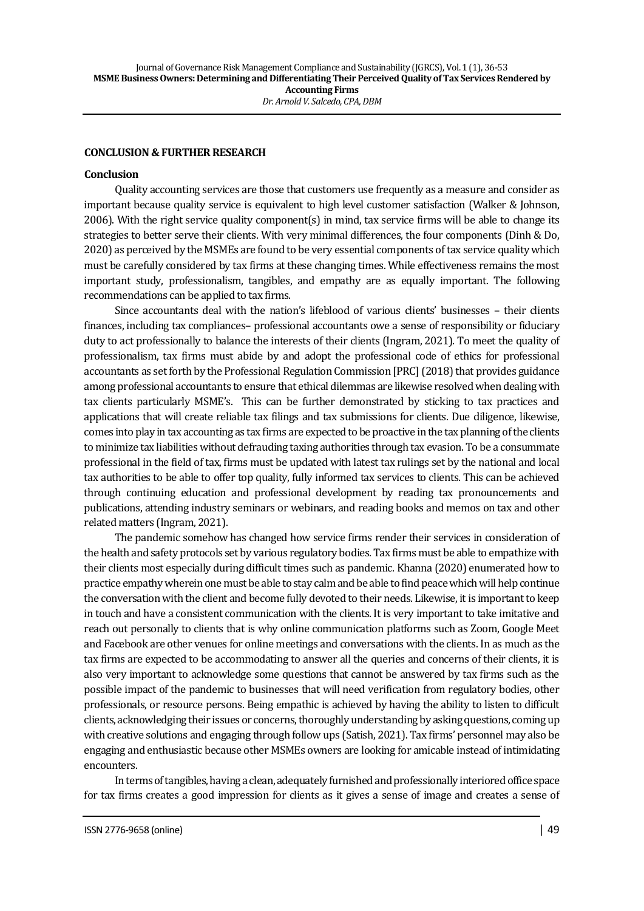## **CONCLUSION & FURTHER RESEARCH**

### **Conclusion**

Quality accounting services are those that customers use frequently as a measure and consider as important because quality service is equivalent to high level customer satisfaction (Walker & Johnson, 2006). With the right service quality component(s) in mind, tax service firms will be able to change its strategies to better serve their clients. With very minimal differences, the four components (Dinh & Do, 2020) as perceived by the MSMEs are found to be very essential components of tax service quality which must be carefully considered by tax firms at these changing times. While effectiveness remains the most important study, professionalism, tangibles, and empathy are as equally important. The following recommendations can be applied to tax firms.

Since accountants deal with the nation's lifeblood of various clients' businesses – their clients finances, including tax compliances– professional accountants owe a sense of responsibility or fiduciary duty to act professionally to balance the interests of their clients (Ingram, 2021). To meet the quality of professionalism, tax firms must abide by and adopt the professional code of ethics for professional accountants as set forth by the Professional Regulation Commission [PRC] (2018) that provides guidance among professional accountants to ensure that ethical dilemmas are likewise resolved when dealing with tax clients particularly MSME's. This can be further demonstrated by sticking to tax practices and applications that will create reliable tax filings and tax submissions for clients. Due diligence, likewise, comes into play in tax accounting as tax firms are expected to be proactive in the tax planning of the clients to minimize tax liabilities without defrauding taxing authorities through tax evasion. To be a consummate professional in the field of tax, firms must be updated with latest tax rulings set by the national and local tax authorities to be able to offer top quality, fully informed tax services to clients. This can be achieved through continuing education and professional development by reading tax pronouncements and publications, attending industry seminars or webinars, and reading books and memos on tax and other related matters (Ingram, 2021).

The pandemic somehow has changed how service firms render their services in consideration of the health and safety protocols set by various regulatory bodies. Tax firms must be able to empathize with their clients most especially during difficult times such as pandemic. Khanna (2020) enumerated how to practice empathy wherein one must be able to stay calm and be able to find peace which will help continue the conversation with the client and become fully devoted to their needs. Likewise, it is important to keep in touch and have a consistent communication with the clients. It is very important to take imitative and reach out personally to clients that is why online communication platforms such as Zoom, Google Meet and Facebook are other venues for online meetings and conversations with the clients. In as much as the tax firms are expected to be accommodating to answer all the queries and concerns of their clients, it is also very important to acknowledge some questions that cannot be answered by tax firms such as the possible impact of the pandemic to businesses that will need verification from regulatory bodies, other professionals, or resource persons. Being empathic is achieved by having the ability to listen to difficult clients, acknowledging their issues or concerns, thoroughly understanding by asking questions, coming up with creative solutions and engaging through follow ups (Satish, 2021). Tax firms' personnel may also be engaging and enthusiastic because other MSMEs owners are looking for amicable instead of intimidating encounters.

In terms of tangibles, having a clean, adequately furnished and professionally interiored office space for tax firms creates a good impression for clients as it gives a sense of image and creates a sense of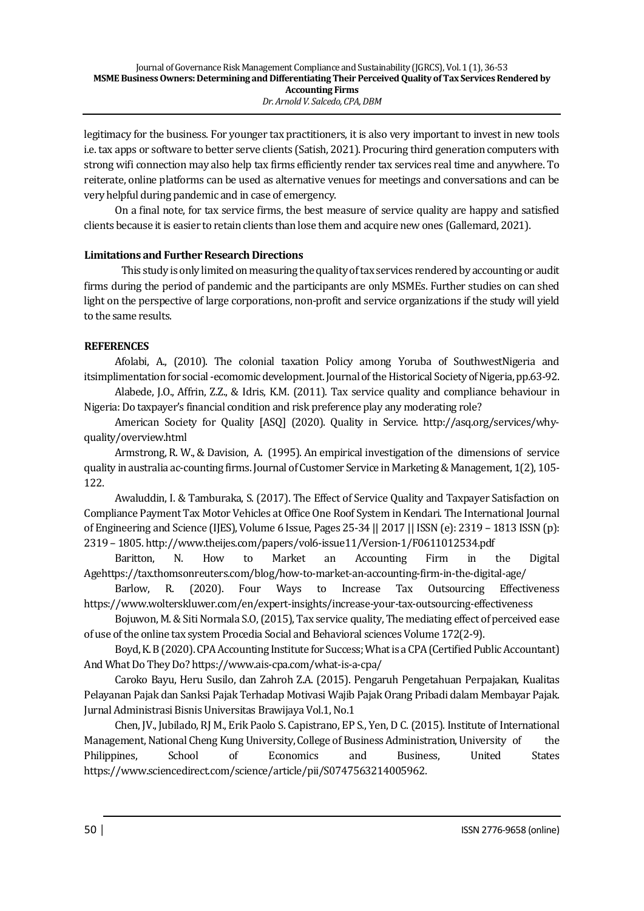legitimacy for the business. For younger tax practitioners, it is also very important to invest in new tools i.e. tax apps or software to better serve clients (Satish, 2021). Procuring third generation computers with strong wifi connection may also help tax firms efficiently render tax services real time and anywhere. To reiterate, online platforms can be used as alternative venues for meetings and conversations and can be very helpful during pandemic and in case of emergency.

On a final note, for tax service firms, the best measure of service quality are happy and satisfied clients because it is easier to retain clients than lose them and acquire new ones (Gallemard, 2021).

# **Limitations and Further Research Directions**

 This study is only limited on measuring the quality of tax services rendered by accounting or audit firms during the period of pandemic and the participants are only MSMEs. Further studies on can shed light on the perspective of large corporations, non-profit and service organizations if the study will yield to the same results.

# **REFERENCES**

Afolabi, A., (2010). The colonial taxation Policy among Yoruba of SouthwestNigeria and itsimplimentation for social -ecomomic development. Journal of the Historical Society of Nigeria, pp.63-92.

Alabede, J.O., Affrin, Z.Z., & Idris, K.M. (2011). Tax service quality and compliance behaviour in Nigeria: Do taxpayer's financial condition and risk preference play any moderating role?

American Society for Quality [ASQ] (2020). Quality in Service. http://asq.org/services/whyquality/overview.html

Armstrong, R. W., & Davision, A. (1995). An empirical investigation of the dimensions of service quality in australia ac-counting firms. Journal of Customer Service in Marketing & Management, 1(2), 105- 122.

Awaluddin, I. & Tamburaka, S. (2017). The Effect of Service Quality and Taxpayer Satisfaction on Compliance Payment Tax Motor Vehicles at Office One Roof System in Kendari. The International Journal of Engineering and Science (IJES), Volume 6 Issue, Pages 25-34 || 2017 || ISSN (e): 2319 – 1813 ISSN (p): 2319 – 1805. http://www.theijes.com/papers/vol6-issue11/Version-1/F0611012534.pdf

Baritton, N. How to Market an Accounting Firm in the Digital Agehttps://tax.thomsonreuters.com/blog/how-to-market-an-accounting-firm-in-the-digital-age/

Barlow, R. (2020). Four Ways to Increase Tax Outsourcing Effectiveness https://www.wolterskluwer.com/en/expert-insights/increase-your-tax-outsourcing-effectiveness

Bojuwon, M. & Siti Normala S.O, (2015), Tax service quality, The mediating effect of perceived ease of use of the online tax system Procedia Social and Behavioral sciences Volume 172(2-9).

Boyd, K. B (2020). CPA Accounting Institute for Success; What is a CPA (Certified Public Accountant) And What Do They Do? https://www.ais-cpa.com/what-is-a-cpa/

Caroko Bayu, Heru Susilo, dan Zahroh Z.A. (2015). Pengaruh Pengetahuan Perpajakan, Kualitas Pelayanan Pajak dan Sanksi Pajak Terhadap Motivasi Wajib Pajak Orang Pribadi dalam Membayar Pajak. Jurnal Administrasi Bisnis Universitas Brawijaya Vol.1, No.1

Chen, JV., Jubilado, RJ M., Erik Paolo S. Capistrano, EP S., Yen, D C. (2015). Institute of International Management, National Cheng Kung University, College of Business Administration, University of the Philippines, School of Economics and Business, United States https://www.sciencedirect.com/science/article/pii/S0747563214005962.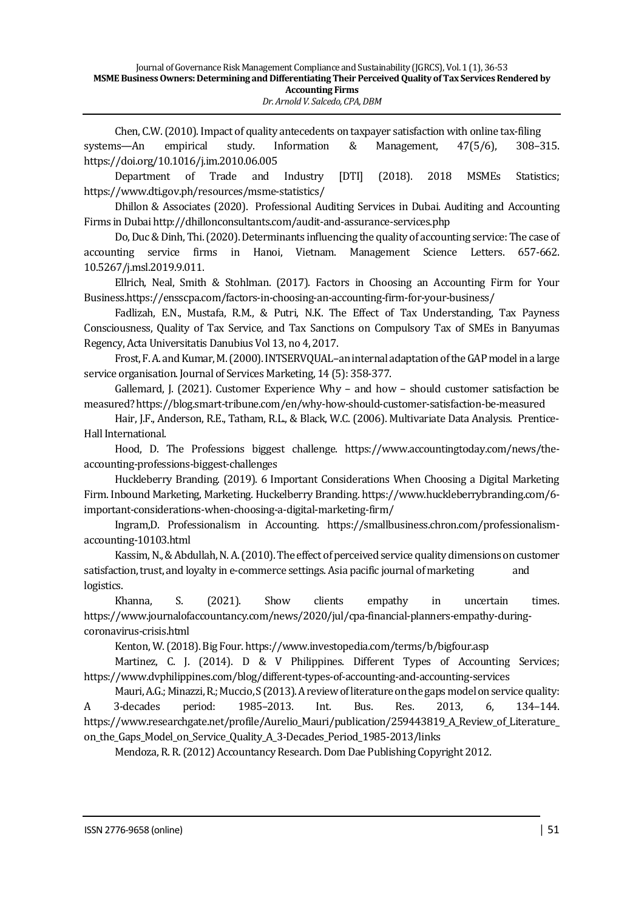Chen, C.W. (2010). Impact of quality antecedents on taxpayer satisfaction with online tax-filing systems—An empirical study. Information & Management, 47(5/6), 308–315. https://doi.org/10.1016/j.im.2010.06.005

Department of Trade and Industry [DTI] (2018). 2018 MSMEs Statistics; https://www.dti.gov.ph/resources/msme-statistics/

Dhillon & Associates (2020). Professional Auditing Services in Dubai. Auditing and Accounting Firms in Dubai http://dhillonconsultants.com/audit-and-assurance-services.php

Do, Duc & Dinh, Thi. (2020). Determinants influencing the quality of accounting service: The case of accounting service firms in Hanoi, Vietnam. Management Science Letters. 657-662. 10.5267/j.msl.2019.9.011.

Ellrich, Neal, Smith & Stohlman. (2017). Factors in Choosing an Accounting Firm for Your Business.https://ensscpa.com/factors-in-choosing-an-accounting-firm-for-your-business/

Fadlizah, E.N., Mustafa, R.M., & Putri, N.K. The Effect of Tax Understanding, Tax Payness Consciousness, Quality of Tax Service, and Tax Sanctions on Compulsory Tax of SMEs in Banyumas Regency, Acta Universitatis Danubius Vol 13, no 4, 2017.

Frost, F. A. and Kumar, M. (2000). INTSERVQUAL–an internal adaptation of the GAPmodel in a large service organisation. Journal of Services Marketing, 14 (5): 358-377.

Gallemard, J. (2021). Customer Experience Why – and how – should customer satisfaction be measured? https://blog.smart-tribune.com/en/why-how-should-customer-satisfaction-be-measured

Hair, J.F., Anderson, R.E., Tatham, R.L., & Black, W.C. (2006). Multivariate Data Analysis. Prentice-Hall International.

Hood, D. The Professions biggest challenge. https://www.accountingtoday.com/news/theaccounting-professions-biggest-challenges

Huckleberry Branding. (2019). 6 Important Considerations When Choosing a Digital Marketing Firm. Inbound Marketing, Marketing. Huckelberry Branding. https://www.huckleberrybranding.com/6 important-considerations-when-choosing-a-digital-marketing-firm/

Ingram,D. Professionalism in Accounting. https://smallbusiness.chron.com/professionalismaccounting-10103.html

Kassim, N., & Abdullah, N. A. (2010). The effect of perceived service quality dimensions on customer satisfaction, trust, and loyalty in e-commerce settings. Asia pacific journal of marketing and logistics.

Khanna, S. (2021). Show clients empathy in uncertain times. https://www.journalofaccountancy.com/news/2020/jul/cpa-financial-planners-empathy-duringcoronavirus-crisis.html

Kenton, W. (2018). Big Four. https://www.investopedia.com/terms/b/bigfour.asp

Martinez, C. J. (2014). D & V Philippines. Different Types of Accounting Services; https://www.dvphilippines.com/blog/different-types-of-accounting-and-accounting-services

Mauri, A.G.; Minazzi, R.; Muccio, S (2013). A review of literature on the gaps model on service quality: A 3-decades period: 1985–2013. Int. Bus. Res. 2013, 6, 134–144. https://www.researchgate.net/profile/Aurelio\_Mauri/publication/259443819\_A\_Review\_of\_Literature\_ on\_the\_Gaps\_Model\_on\_Service\_Quality\_A\_3-Decades\_Period\_1985-2013/links

Mendoza, R. R. (2012) Accountancy Research. Dom Dae Publishing Copyright 2012.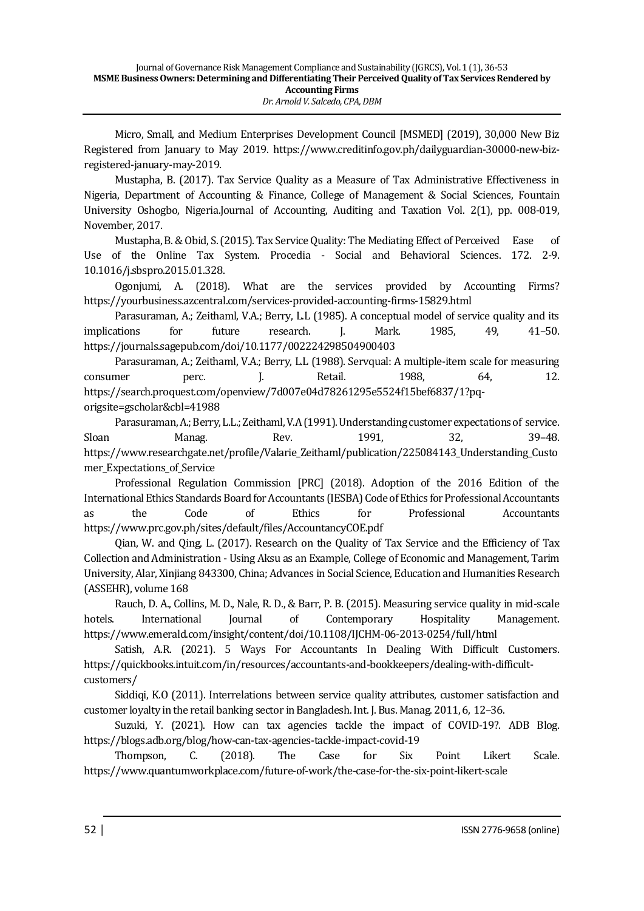Micro, Small, and Medium Enterprises Development Council [MSMED] (2019), 30,000 New Biz Registered from January to May 2019. https://www.creditinfo.gov.ph/dailyguardian-30000-new-bizregistered-january-may-2019.

Mustapha, B. (2017). Tax Service Quality as a Measure of Tax Administrative Effectiveness in Nigeria, Department of Accounting & Finance, College of Management & Social Sciences, Fountain University Oshogbo, Nigeria.Journal of Accounting, Auditing and Taxation Vol. 2(1), pp. 008-019, November, 2017.

Mustapha, B. & Obid, S. (2015). Tax Service Quality: The Mediating Effect of Perceived Ease of Use of the Online Tax System. Procedia - Social and Behavioral Sciences. 172. 2-9. 10.1016/j.sbspro.2015.01.328.

Ogonjumi, A. (2018). What are the services provided by Accounting Firms? https://yourbusiness.azcentral.com/services-provided-accounting-firms-15829.html

Parasuraman, A.; Zeithaml, V.A.; Berry, L.L (1985). A conceptual model of service quality and its implications for future research. J. Mark. 1985, 49, 41–50. https://journals.sagepub.com/doi/10.1177/002224298504900403

Parasuraman, A.; Zeithaml, V.A.; Berry, L.L (1988). Servqual: A multiple-item scale for measuring consumer perc. J. Retail. 1988, 64, 12. https://search.proquest.com/openview/7d007e04d78261295e5524f15bef6837/1?pqorigsite=gscholar&cbl=41988

Parasuraman, A.; Berry, L.L.; Zeithaml, V.A (1991). Understanding customer expectations of service. Sloan Manag. Rev. 1991, 32, 39–48. https://www.researchgate.net/profile/Valarie\_Zeithaml/publication/225084143\_Understanding\_Custo mer\_Expectations\_of\_Service

Professional Regulation Commission [PRC] (2018). Adoption of the 2016 Edition of the International Ethics Standards Board for Accountants (IESBA) Code of Ethics for Professional Accountants as the Code of Ethics for Professional Accountants https://www.prc.gov.ph/sites/default/files/AccountancyCOE.pdf

Qian, W. and Qing, L. (2017). Research on the Quality of Tax Service and the Efficiency of Tax Collection and Administration - Using Aksu as an Example, College of Economic and Management, Tarim University, Alar, Xinjiang 843300, China; Advances in Social Science, Education and Humanities Research (ASSEHR), volume 168

Rauch, D. A., Collins, M. D., Nale, R. D., & Barr, P. B. (2015). Measuring service quality in mid-scale hotels. International Journal of Contemporary Hospitality Management. https://www.emerald.com/insight/content/doi/10.1108/IJCHM-06-2013-0254/full/html

Satish, A.R. (2021). 5 Ways For Accountants In Dealing With Difficult Customers. https://quickbooks.intuit.com/in/resources/accountants-and-bookkeepers/dealing-with-difficultcustomers/

Siddiqi, K.O (2011). Interrelations between service quality attributes, customer satisfaction and customer loyalty in the retail banking sector in Bangladesh. Int. J. Bus. Manag. 2011, 6, 12–36.

Suzuki, Y. (2021). How can tax agencies tackle the impact of COVID-19?. ADB Blog. https://blogs.adb.org/blog/how-can-tax-agencies-tackle-impact-covid-19

Thompson, C. (2018). The Case for Six Point Likert Scale. https://www.quantumworkplace.com/future-of-work/the-case-for-the-six-point-likert-scale